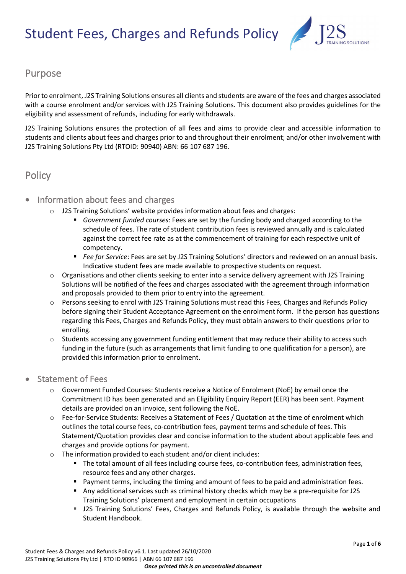

### Purpose

Prior to enrolment, J2S Training Solutions ensures all clients and students are aware of the fees and charges associated with a course enrolment and/or services with J2S Training Solutions. This document also provides guidelines for the eligibility and assessment of refunds, including for early withdrawals.

J2S Training Solutions ensures the protection of all fees and aims to provide clear and accessible information to students and clients about fees and charges prior to and throughout their enrolment; and/or other involvement with J2S Training Solutions Pty Ltd (RTOID: 90940) ABN: 66 107 687 196.

## **Policy**

- Information about fees and charges
	- o J2S Training Solutions' website provides information about fees and charges:
		- *Government funded courses*: Fees are set by the funding body and charged according to the schedule of fees. The rate of student contribution fees is reviewed annually and is calculated against the correct fee rate as at the commencement of training for each respective unit of competency.
		- *Fee for Service*: Fees are set by J2S Training Solutions' directors and reviewed on an annual basis. Indicative student fees are made available to prospective students on request.
	- $\circ$  Organisations and other clients seeking to enter into a service delivery agreement with J2S Training Solutions will be notified of the fees and charges associated with the agreement through information and proposals provided to them prior to entry into the agreement.
	- $\circ$  Persons seeking to enrol with J2S Training Solutions must read this Fees, Charges and Refunds Policy before signing their Student Acceptance Agreement on the enrolment form. If the person has questions regarding this Fees, Charges and Refunds Policy, they must obtain answers to their questions prior to enrolling.
	- o Students accessing any government funding entitlement that may reduce their ability to access such funding in the future (such as arrangements that limit funding to one qualification for a person), are provided this information prior to enrolment.
- Statement of Fees
	- o Government Funded Courses: Students receive a Notice of Enrolment (NoE) by email once the Commitment ID has been generated and an Eligibility Enquiry Report (EER) has been sent. Payment details are provided on an invoice, sent following the NoE.
	- o Fee-for-Service Students: Receives a Statement of Fees / Quotation at the time of enrolment which outlines the total course fees, co-contribution fees, payment terms and schedule of fees. This Statement/Quotation provides clear and concise information to the student about applicable fees and charges and provide options for payment.
	- o The information provided to each student and/or client includes:
		- The total amount of all fees including course fees, co-contribution fees, administration fees, resource fees and any other charges.
		- Payment terms, including the timing and amount of fees to be paid and administration fees.
		- Any additional services such as criminal history checks which may be a pre-requisite for J2S Training Solutions' placement and employment in certain occupations
		- **J2S Training Solutions' Fees, Charges and Refunds Policy, is available through the website and** Student Handbook.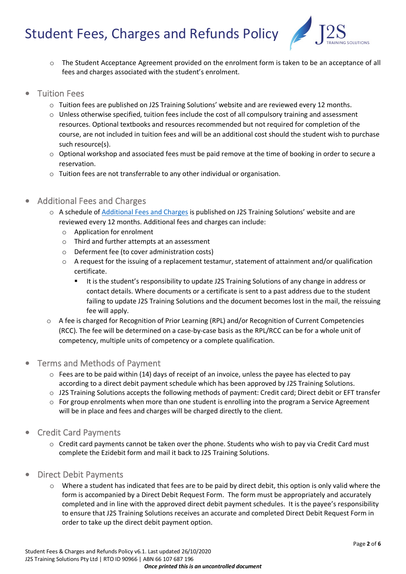

- o The Student Acceptance Agreement provided on the enrolment form is taken to be an acceptance of all fees and charges associated with the student's enrolment.
- Tuition Fees
	- o Tuition fees are published on J2S Training Solutions' website and are reviewed every 12 months.
	- o Unless otherwise specified, tuition fees include the cost of all compulsory training and assessment resources. Optional textbooks and resources recommended but not required for completion of the course, are not included in tuition fees and will be an additional cost should the student wish to purchase such resource(s).
	- $\circ$  Optional workshop and associated fees must be paid remove at the time of booking in order to secure a reservation.
	- o Tuition fees are not transferrable to any other individual or organisation.
- Additional Fees and Charges
	- o A schedule of [Additional Fees and Charges](https://2cc4e78e-c485-4b1f-928d-3e093e7325a2.filesusr.com/ugd/1cc392_683c0908b58f4f929b4874034192ead7.pdf) is published on J2S Training Solutions' website and are reviewed every 12 months. Additional fees and charges can include:
		- o Application for enrolment
		- o Third and further attempts at an assessment
		- o Deferment fee (to cover administration costs)
		- o A request for the issuing of a replacement testamur, statement of attainment and/or qualification certificate.
			- It is the student's responsibility to update J2S Training Solutions of any change in address or contact details. Where documents or a certificate is sent to a past address due to the student failing to update J2S Training Solutions and the document becomes lost in the mail, the reissuing fee will apply.
	- o A fee is charged for Recognition of Prior Learning (RPL) and/or Recognition of Current Competencies (RCC). The fee will be determined on a case-by-case basis as the RPL/RCC can be for a whole unit of competency, multiple units of competency or a complete qualification.
- Terms and Methods of Payment
	- $\circ$  Fees are to be paid within (14) days of receipt of an invoice, unless the payee has elected to pay according to a direct debit payment schedule which has been approved by J2S Training Solutions.
	- o J2S Training Solutions accepts the following methods of payment: Credit card; Direct debit or EFT transfer
	- $\circ$  For group enrolments when more than one student is enrolling into the program a Service Agreement will be in place and fees and charges will be charged directly to the client.
- Credit Card Payments
	- o Credit card payments cannot be taken over the phone. Students who wish to pay via Credit Card must complete the Ezidebit form and mail it back to J2S Training Solutions.
- Direct Debit Payments
	- o Where a student has indicated that fees are to be paid by direct debit, this option is only valid where the form is accompanied by a Direct Debit Request Form. The form must be appropriately and accurately completed and in line with the approved direct debit payment schedules. It is the payee's responsibility to ensure that J2S Training Solutions receives an accurate and completed Direct Debit Request Form in order to take up the direct debit payment option.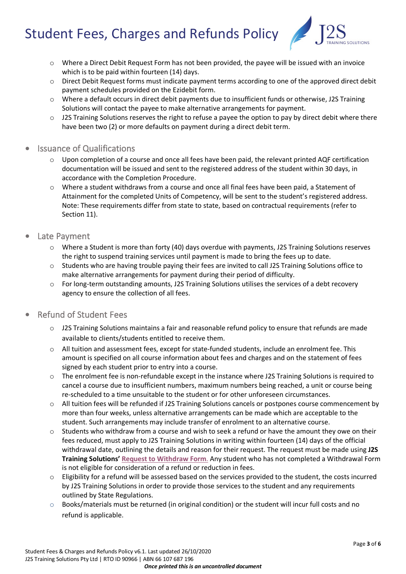

- o Where a Direct Debit Request Form has not been provided, the payee will be issued with an invoice which is to be paid within fourteen (14) days.
- o Direct Debit Request forms must indicate payment terms according to one of the approved direct debit payment schedules provided on the Ezidebit form.
- $\circ$  Where a default occurs in direct debit payments due to insufficient funds or otherwise, J2S Training Solutions will contact the payee to make alternative arrangements for payment.
- $\circ$  J2S Training Solutions reserves the right to refuse a payee the option to pay by direct debit where there have been two (2) or more defaults on payment during a direct debit term.
- Issuance of Qualifications
	- $\circ$  Upon completion of a course and once all fees have been paid, the relevant printed AQF certification documentation will be issued and sent to the registered address of the student within 30 days, in accordance with the Completion Procedure.
	- $\circ$  Where a student withdraws from a course and once all final fees have been paid, a Statement of Attainment for the completed Units of Competency, will be sent to the student's registered address. Note: These requirements differ from state to state, based on contractual requirements (refer to Section 11).
- Late Payment
	- o Where a Student is more than forty (40) days overdue with payments, J2S Training Solutions reserves the right to suspend training services until payment is made to bring the fees up to date.
	- $\circ$  Students who are having trouble paying their fees are invited to call J2S Training Solutions office to make alternative arrangements for payment during their period of difficulty.
	- o For long-term outstanding amounts, J2S Training Solutions utilises the services of a debt recovery agency to ensure the collection of all fees.
- Refund of Student Fees
	- $\circ$  J2S Training Solutions maintains a fair and reasonable refund policy to ensure that refunds are made available to clients/students entitled to receive them.
	- $\circ$  All tuition and assessment fees, except for state-funded students, include an enrolment fee. This amount is specified on all course information about fees and charges and on the statement of fees signed by each student prior to entry into a course.
	- o The enrolment fee is non-refundable except in the instance where J2S Training Solutions is required to cancel a course due to insufficient numbers, maximum numbers being reached, a unit or course being re-scheduled to a time unsuitable to the student or for other unforeseen circumstances.
	- o All tuition fees will be refunded if J2S Training Solutions cancels or postpones course commencement by more than four weeks, unless alternative arrangements can be made which are acceptable to the student. Such arrangements may include transfer of enrolment to an alternative course.
	- $\circ$  Students who withdraw from a course and wish to seek a refund or have the amount they owe on their fees reduced, must apply to J2S Training Solutions in writing within fourteen (14) days of the official withdrawal date, outlining the details and reason for their request. The request must be made using **J2S Training Solutions' [Request to Withdraw Form](https://2cc4e78e-c485-4b1f-928d-3e093e7325a2.filesusr.com/ugd/e3fe40_a2b7936ccdcc424ab9198dad44ce78a9.pdf)**. Any student who has not completed a Withdrawal Form is not eligible for consideration of a refund or reduction in fees.
	- $\circ$  Eligibility for a refund will be assessed based on the services provided to the student, the costs incurred by J2S Training Solutions in order to provide those services to the student and any requirements outlined by State Regulations.
	- $\circ$  Books/materials must be returned (in original condition) or the student will incur full costs and no refund is applicable.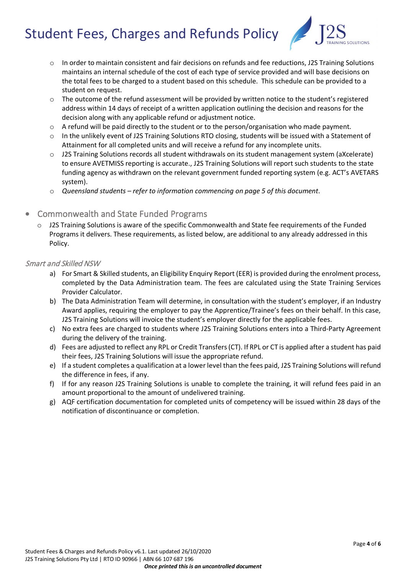

- In order to maintain consistent and fair decisions on refunds and fee reductions, J2S Training Solutions maintains an internal schedule of the cost of each type of service provided and will base decisions on the total fees to be charged to a student based on this schedule. This schedule can be provided to a student on request.
- $\circ$  The outcome of the refund assessment will be provided by written notice to the student's registered address within 14 days of receipt of a written application outlining the decision and reasons for the decision along with any applicable refund or adjustment notice.
- $\circ$  A refund will be paid directly to the student or to the person/organisation who made payment.
- o In the unlikely event of J2S Training Solutions RTO closing, students will be issued with a Statement of Attainment for all completed units and will receive a refund for any incomplete units.
- o J2S Training Solutions records all student withdrawals on its student management system (aXcelerate) to ensure AVETMISS reporting is accurate., J2S Training Solutions will report such students to the state funding agency as withdrawn on the relevant government funded reporting system (e.g. ACT's AVETARS system).
- o *Queensland students – refer to information commencing on page 5 of this document*.

#### • Commonwealth and State Funded Programs

 $\circ$  J2S Training Solutions is aware of the specific Commonwealth and State fee requirements of the Funded Programs it delivers. These requirements, as listed below, are additional to any already addressed in this Policy.

#### Smart and Skilled NSW

- a) For Smart & Skilled students, an Eligibility Enquiry Report (EER) is provided during the enrolment process, completed by the Data Administration team. The fees are calculated using the State Training Services Provider Calculator.
- b) The Data Administration Team will determine, in consultation with the student's employer, if an Industry Award applies, requiring the employer to pay the Apprentice/Trainee's fees on their behalf. In this case, J2S Training Solutions will invoice the student's employer directly for the applicable fees.
- c) No extra fees are charged to students where J2S Training Solutions enters into a Third-Party Agreement during the delivery of the training.
- d) Fees are adjusted to reflect any RPL or Credit Transfers (CT). If RPL or CT is applied after a student has paid their fees, J2S Training Solutions will issue the appropriate refund.
- e) If a student completes a qualification at a lower level than the fees paid, J2S Training Solutions will refund the difference in fees, if any.
- f) If for any reason J2S Training Solutions is unable to complete the training, it will refund fees paid in an amount proportional to the amount of undelivered training.
- g) AQF certification documentation for completed units of competency will be issued within 28 days of the notification of discontinuance or completion.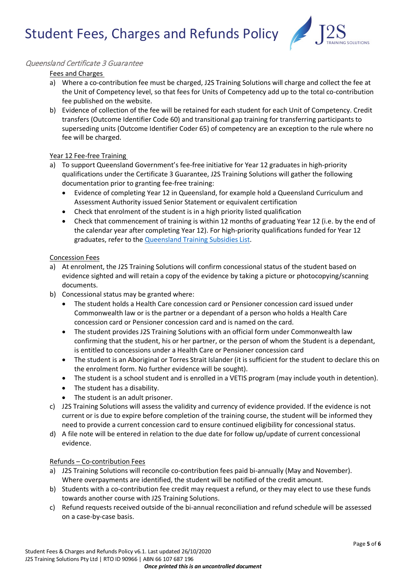

#### Queensland Certificate 3 Guarantee

#### Fees and Charges

- a) Where a co-contribution fee must be charged, J2S Training Solutions will charge and collect the fee at the Unit of Competency level, so that fees for Units of Competency add up to the total co-contribution fee published on the website.
- b) Evidence of collection of the fee will be retained for each student for each Unit of Competency. Credit transfers (Outcome Identifier Code 60) and transitional gap training for transferring participants to superseding units (Outcome Identifier Coder 65) of competency are an exception to the rule where no fee will be charged.

#### Year 12 Fee-free Training

- a) To support Queensland Government's fee-free initiative for Year 12 graduates in high-priority qualifications under the Certificate 3 Guarantee, J2S Training Solutions will gather the following documentation prior to granting fee-free training:
	- Evidence of completing Year 12 in Queensland, for example hold a Queensland Curriculum and Assessment Authority issued Senior Statement or equivalent certification
	- Check that enrolment of the student is in a high priority listed qualification
	- Check that commencement of training is within 12 months of graduating Year 12 (i.e. by the end of the calendar year after completing Year 12). For high-priority qualifications funded for Year 12 graduates, refer to the [Queensland Training Subsidies List.](https://desbt.qld.gov.au/training/providers/funded/priority-skills-list)

#### Concession Fees

- a) At enrolment, the J2S Training Solutions will confirm concessional status of the student based on evidence sighted and will retain a copy of the evidence by taking a picture or photocopying/scanning documents.
- b) Concessional status may be granted where:
	- The student holds a Health Care concession card or Pensioner concession card issued under Commonwealth law or is the partner or a dependant of a person who holds a Health Care concession card or Pensioner concession card and is named on the card.
	- The student provides J2S Training Solutions with an official form under Commonwealth law confirming that the student, his or her partner, or the person of whom the Student is a dependant, is entitled to concessions under a Health Care or Pensioner concession card
	- The student is an Aboriginal or Torres Strait Islander (it is sufficient for the student to declare this on the enrolment form. No further evidence will be sought).
	- The student is a school student and is enrolled in a VETIS program (may include youth in detention).
	- The student has a disability.
	- The student is an adult prisoner.
- c) J2S Training Solutions will assess the validity and currency of evidence provided. If the evidence is not current or is due to expire before completion of the training course, the student will be informed they need to provide a current concession card to ensure continued eligibility for concessional status.
- d) A file note will be entered in relation to the due date for follow up/update of current concessional evidence.

#### Refunds – Co-contribution Fees

- a) J2S Training Solutions will reconcile co-contribution fees paid bi-annually (May and November). Where overpayments are identified, the student will be notified of the credit amount.
- b) Students with a co-contribution fee credit may request a refund, or they may elect to use these funds towards another course with J2S Training Solutions.
- c) Refund requests received outside of the bi-annual reconciliation and refund schedule will be assessed on a case-by-case basis.